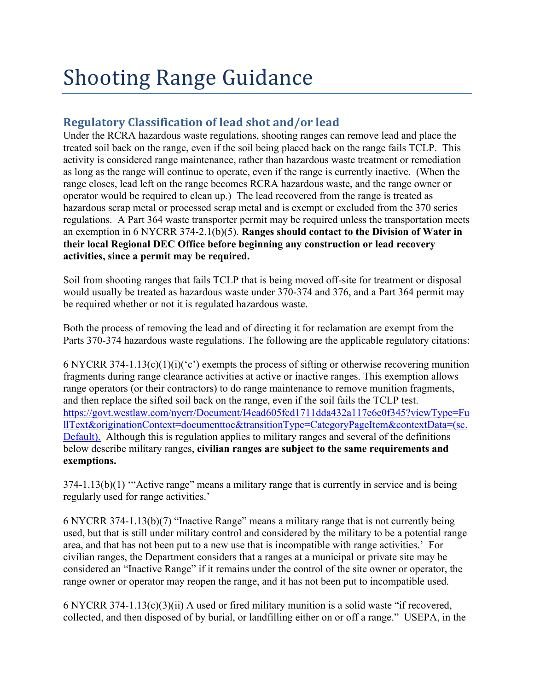# **Shooting Range Guidance**

## **Regulatory Classification of lead shot and/or lead**

Under the RCRA hazardous waste regulations, shooting ranges can remove lead and place the treated soil back on the range, even if the soil being placed back on the range fails TCLP. This activity is considered range maintenance, rather than hazardous waste treatment or remediation as long as the range will continue to operate, even if the range is currently inactive. (When the range closes, lead left on the range becomes RCRA hazardous waste, and the range owner or operator would be required to clean up.) The lead recovered from the range is treated as hazardous scrap metal or processed scrap metal and is exempt or excluded from the 370 series regulations. A Part 364 waste transporter permit may be required unless the transportation meets an exemption in 6 NYCRR 374-2.1(b)(5). **Ranges should contact to the Division of Water in their local Regional DEC Office before beginning any construction or lead recovery activities, since a permit may be required.**

Soil from shooting ranges that fails TCLP that is being moved off-site for treatment or disposal would usually be treated as hazardous waste under 370-374 and 376, and a Part 364 permit may be required whether or not it is regulated hazardous waste.

Both the process of removing the lead and of directing it for reclamation are exempt from the Parts 370-374 hazardous waste regulations. The following are the applicable regulatory citations:

6 NYCRR 374-1.13(c)(1)(i)( $\degree$ c') exempts the process of sifting or otherwise recovering munition fragments during range clearance activities at active or inactive ranges. This exemption allows range operators (or their contractors) to do range maintenance to remove munition fragments, and then replace the sifted soil back on the range, even if the soil fails the TCLP test. https://govt.westlaw.com/nycrr/Document/I4ead605fcd1711dda432a117e6e0f345?viewType=Fu llText&originationContext=documenttoc&transitionType=CategoryPageItem&contextData=(sc. Default). Although this is regulation applies to military ranges and several of the definitions below describe military ranges, **civilian ranges are subject to the same requirements and exemptions.**

374-1.13(b)(1) '"Active range" means a military range that is currently in service and is being regularly used for range activities.'

6 NYCRR 374-1.13(b)(7) "Inactive Range" means a military range that is not currently being used, but that is still under military control and considered by the military to be a potential range area, and that has not been put to a new use that is incompatible with range activities.' For civilian ranges, the Department considers that a ranges at a municipal or private site may be considered an "Inactive Range" if it remains under the control of the site owner or operator, the range owner or operator may reopen the range, and it has not been put to incompatible used.

6 NYCRR 374-1.13(c)(3)(ii) A used or fired military munition is a solid waste "if recovered, collected, and then disposed of by burial, or landfilling either on or off a range." USEPA, in the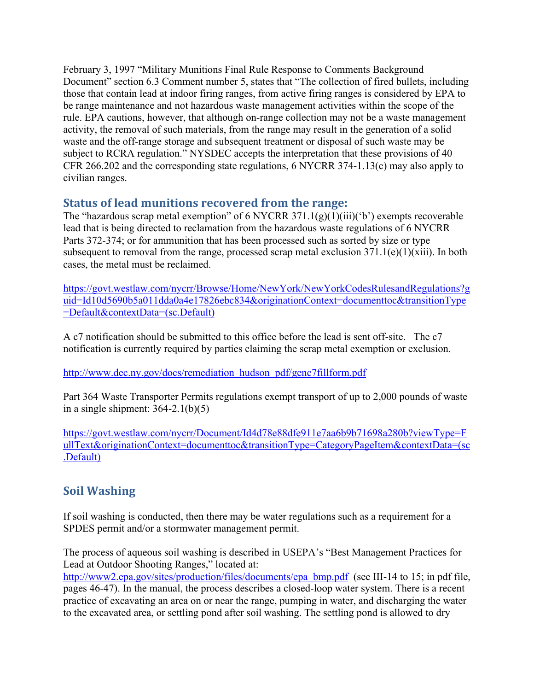February 3, 1997 "Military Munitions Final Rule Response to Comments Background Document" section 6.3 Comment number 5, states that "The collection of fired bullets, including those that contain lead at indoor firing ranges, from active firing ranges is considered by EPA to be range maintenance and not hazardous waste management activities within the scope of the rule. EPA cautions, however, that although on-range collection may not be a waste management activity, the removal of such materials, from the range may result in the generation of a solid waste and the off-range storage and subsequent treatment or disposal of such waste may be subject to RCRA regulation." NYSDEC accepts the interpretation that these provisions of 40 CFR 266.202 and the corresponding state regulations, 6 NYCRR 374-1.13(c) may also apply to civilian ranges.

## **Status of lead munitions recovered from the range:**

The "hazardous scrap metal exemption" of 6 NYCRR 371.1(g)(1)(iii)('b') exempts recoverable lead that is being directed to reclamation from the hazardous waste regulations of 6 NYCRR Parts 372-374; or for ammunition that has been processed such as sorted by size or type subsequent to removal from the range, processed scrap metal exclusion  $371.1(e)(1)(xiii)$ . In both cases, the metal must be reclaimed.

https://govt.westlaw.com/nycrr/Browse/Home/NewYork/NewYorkCodesRulesandRegulations?g uid=Id10d5690b5a011dda0a4e17826ebc834&originationContext=documenttoc&transitionType =Default&contextData=(sc.Default)

A c7 notification should be submitted to this office before the lead is sent off-site. The c7 notification is currently required by parties claiming the scrap metal exemption or exclusion.

http://www.dec.ny.gov/docs/remediation\_hudson\_pdf/genc7fillform.pdf

Part 364 Waste Transporter Permits regulations exempt transport of up to 2,000 pounds of waste in a single shipment:  $364-2.1(b)(5)$ 

https://govt.westlaw.com/nycrr/Document/Id4d78e88dfe911e7aa6b9b71698a280b?viewType=F ullText&originationContext=documenttoc&transitionType=CategoryPageItem&contextData=(sc .Default)

# **Soil Washing**

If soil washing is conducted, then there may be water regulations such as a requirement for a SPDES permit and/or a stormwater management permit.

The process of aqueous soil washing is described in USEPA's "Best Management Practices for Lead at Outdoor Shooting Ranges," located at:

http://www2.epa.gov/sites/production/files/documents/epa\_bmp.pdf (see III-14 to 15; in pdf file, pages 46-47). In the manual, the process describes a closed-loop water system. There is a recent practice of excavating an area on or near the range, pumping in water, and discharging the water to the excavated area, or settling pond after soil washing. The settling pond is allowed to dry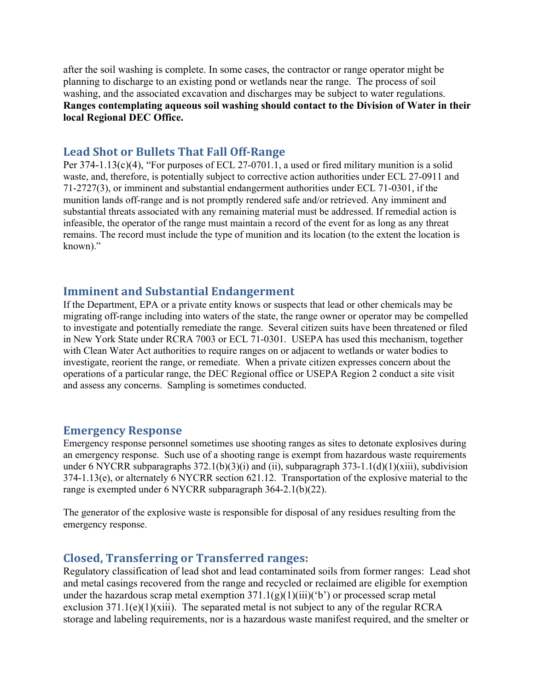after the soil washing is complete. In some cases, the contractor or range operator might be planning to discharge to an existing pond or wetlands near the range. The process of soil washing, and the associated excavation and discharges may be subject to water regulations. **Ranges contemplating aqueous soil washing should contact to the Division of Water in their local Regional DEC Office.**

#### Lead Shot or Bullets That Fall Off-Range

Per 374-1.13(c)(4), "For purposes of ECL 27-0701.1, a used or fired military munition is a solid waste, and, therefore, is potentially subject to corrective action authorities under ECL 27-0911 and 71-2727(3), or imminent and substantial endangerment authorities under ECL 71-0301, if the munition lands off-range and is not promptly rendered safe and/or retrieved. Any imminent and substantial threats associated with any remaining material must be addressed. If remedial action is infeasible, the operator of the range must maintain a record of the event for as long as any threat remains. The record must include the type of munition and its location (to the extent the location is known)."

#### **Imminent and Substantial Endangerment**

If the Department, EPA or a private entity knows or suspects that lead or other chemicals may be migrating off-range including into waters of the state, the range owner or operator may be compelled to investigate and potentially remediate the range. Several citizen suits have been threatened or filed in New York State under RCRA 7003 or ECL 71-0301. USEPA has used this mechanism, together with Clean Water Act authorities to require ranges on or adjacent to wetlands or water bodies to investigate, reorient the range, or remediate. When a private citizen expresses concern about the operations of a particular range, the DEC Regional office or USEPA Region 2 conduct a site visit and assess any concerns. Sampling is sometimes conducted.

#### **Emergency Response**

Emergency response personnel sometimes use shooting ranges as sites to detonate explosives during an emergency response. Such use of a shooting range is exempt from hazardous waste requirements under 6 NYCRR subparagraphs  $372.1(b)(3)(i)$  and (ii), subparagraph  $373-1.1(d)(1)(xiii)$ , subdivision 374-1.13(e), or alternately 6 NYCRR section 621.12. Transportation of the explosive material to the range is exempted under 6 NYCRR subparagraph 364-2.1(b)(22).

The generator of the explosive waste is responsible for disposal of any residues resulting from the emergency response.

#### **Closed, Transferring or Transferred ranges:**

Regulatory classification of lead shot and lead contaminated soils from former ranges: Lead shot and metal casings recovered from the range and recycled or reclaimed are eligible for exemption under the hazardous scrap metal exemption  $371.1(g)(1)(iii)(b')$  or processed scrap metal exclusion  $371.1(e)(1)(xiii)$ . The separated metal is not subject to any of the regular RCRA storage and labeling requirements, nor is a hazardous waste manifest required, and the smelter or